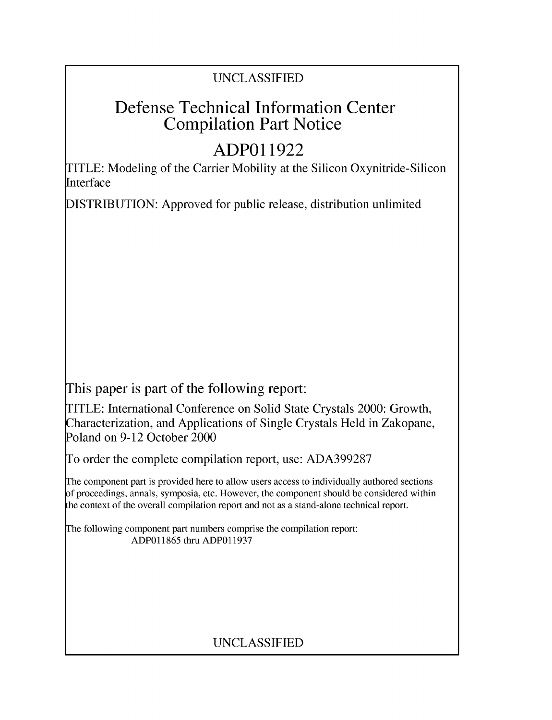### UNCLASSIFIED

## Defense Technical Information Center Compilation Part Notice

# **ADPO 11922**

TITLE: Modeling of the Carrier Mobility at the Silicon Oxynitride-Silicon Interface

DISTRIBUTION: Approved for public release, distribution unlimited

This paper is part of the following report:

TITLE: International Conference on Solid State Crystals 2000: Growth, Characterization, and Applications of Single Crystals Held in Zakopane, Poland on 9-12 October 2000

To order the complete compilation report, use: ADA399287

The component part is provided here to allow users access to individually authored sections f proceedings, annals, symposia, etc. However, the component should be considered within [he context of the overall compilation report and not as a stand-alone technical report.

The following component part numbers comprise the compilation report: ADP011865 thru ADP011937

## UNCLASSIFIED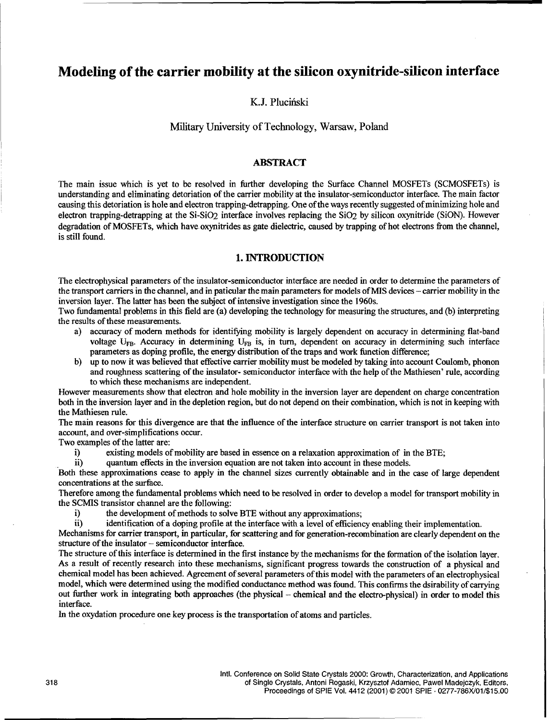### Modeling of the carrier mobility at the silicon oxynitride-silicon interface

K.J. Pluciński

#### Military University of Technology, Warsaw, Poland

#### ABSTRACT

The main issue which is yet to be resolved in further developing the Surface Channel MOSFETs (SCMOSFETs) is understanding and eliminating detoriation of the carrier mobility at the insulator-semiconductor interface. The main factor causing this detoriation is hole and electron trapping-detrapping. One of the ways recently suggested of minimizing hole and electron trapping-detrapping at the Si-SiO2 interface involves replacing the SiO2 by silicon oxynitride (SiON). However degradation of MOSFETs, which have oxynitrides as gate dielectric, caused by trapping of hot electrons from the channel, is still found.

#### 1. **INTRODUCTION**

The electrophysical parameters of the insulator-semiconductor interface are needed in order to determine the parameters of the transport carriers in the channel, and in paticular the main parameters for models of MIS devices - carrier mobility in the inversion layer. The latter has been the subject of intensive investigation since the 1960s.

Two fundamental problems in this field are (a) developing the technology for measuring the structures, and (b) interpreting the results of these measurements.

- a) accuracy of modern methods for identifying mobility is largely dependent on accuracy in determining flat-band voltage  $U_{FB}$ . Accuracy in determining  $U_{FB}$  is, in turn, dependent on accuracy in determining such interface parameters as doping profile, the energy distribution of the traps and work function difference;
- b) up to now it was believed that effective carrier mobility must be modeled by taking into account Coulomb, phonon and roughness scattering of the insulator- semiconductor interface with the help of the Mathiesen' rule, according to which these mechanisms are independent.

However measurements show that electron and hole mobility in the inversion layer are dependent on charge concentration both in the inversion layer and in the depletion region, but do not depend on their combination, which is not in keeping with the Mathiesen rule.

The main reasons for this divergence are that the influence of the interface structure on carrier transport is not taken into account, and over-simplifications occur.

Two examples of the latter are:

i) existing models of mobility are based in essence on a relaxation approximation of in the BTE;

ii) quantum effects in the inversion equation are not taken into account in these models.

Both these approximations cease to apply in the channel sizes currently obtainable and in the case of large dependent concentrations at the surface.

Therefore among the fundamental problems which need to be resolved in order to develop a model for transport mobility in the SCMIS transistor channel are the following:

i) the development of methods to solve BTE without any approximations;

ii) identification of a doping profile at the interface with a level of efficiency enabling their implementation.

Mechanisms for carrier transport, in particular, for scattering and for generation-recombination are clearly dependent on the structure of the insulator – semiconductor interface.

The structure of this interface is determined in the first instance by the mechanisms for the formation of the isolation layer. As a result of recently research into these mechanisms, significant progress towards the construction of a physical and chemical model has been achieved. Agreement of several parameters of this model with the parameters of an electrophysical model, which were determined using the modified conductance method was found. This confirms the dsirability of carrying out further work in integrating both approaches (the physical - chemical and the electro-physical) in order to model this interface.

In the oxydation procedure one key process is the transportation of atoms and particles.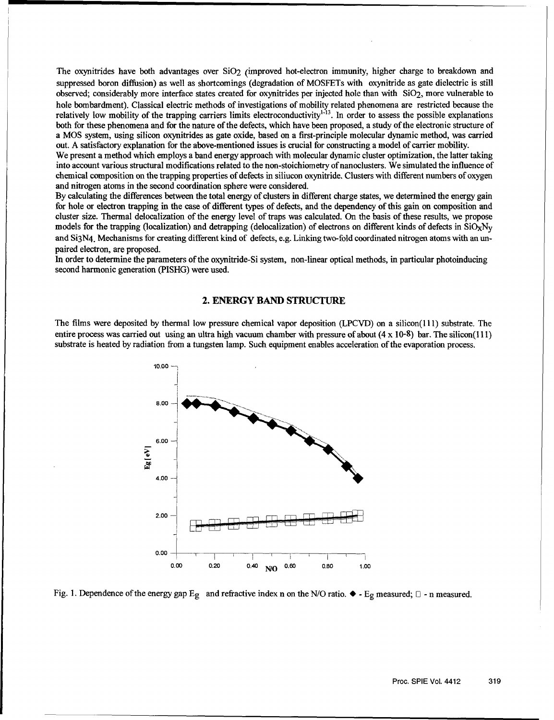The oxynitrides have both advantages over  $SiO<sub>2</sub>$  (improved hot-electron immunity, higher charge to breakdown and suppressed boron diffusion) as well as shortcomings (degradation of MOSFETs with oxynitride as gate dielectric is still observed; considerably more interface states created for oxynitrides per injected hole than with SiO2, more vulnerable to hole bombardment). Classical electric methods of investigations of mobility related phenomena are restricted because the relatively low mobility of the trapping carriers limits electroconductivity<sup>1-13</sup>. In order to assess the possible explanations both for these phenomena and for the nature of the defects, which have been proposed, a study of the electronic structure of a MOS system, using silicon oxynitrides as gate oxide, based on a first-principle molecular dynamic method, was carried out. A satisfactory explanation for the above-mentioned issues is crucial for constructing a model of carrier mobility.

We present a method which employs a band energy approach with molecular dynamic cluster optimization, the latter taking into account various structural modifications related to the non-stoichiometry of nanoclusters. We simulated the influence of chemical composition on the trapping properties of defects in siliucon oxynitride. Clusters with different numbers of oxygen and nitrogen atoms in the second coordination sphere were considered.

By calculating the differences between the total energy of clusters in different charge states, we determined the energy gain for hole or electron trapping in the case of different types of defects, and the dependency of this gain on composition and cluster size. Thermal delocalization of the energy level of traps was calculated. On the basis of these results, we propose models for the trapping (localization) and detrapping (delocalization) of electrons on different kinds of defects in  $SiO_XN_V$ and Si3N4. Mechanisms for creating different kind of defects, e.g. Linking two-fold coordinated nitrogen atoms with an unpaired electron, are proposed.

In order to determine the parameters of the oxynitride-Si system, non-linear optical methods, in particular photoinducing second harmonic generation (PISHG) were used.

#### 2. ENERGY **BAND** STRUCTURE

The films were deposited by thermal low pressure chemical vapor deposition (LPCVD) on a silicon(l 11) substrate. The entire process was carried out using an ultra high vacuum chamber with pressure of about  $(4 \times 10^{-8})$  bar. The silicon(111) substrate is heated by radiation from a tungsten lamp. Such equipment enables acceleration of the evaporation process.



Fig. 1. Dependence of the energy gap  $E_g$  and refractive index n on the N/O ratio.  $\blacklozenge$  - Eg measured;  $\Box$  - n measured.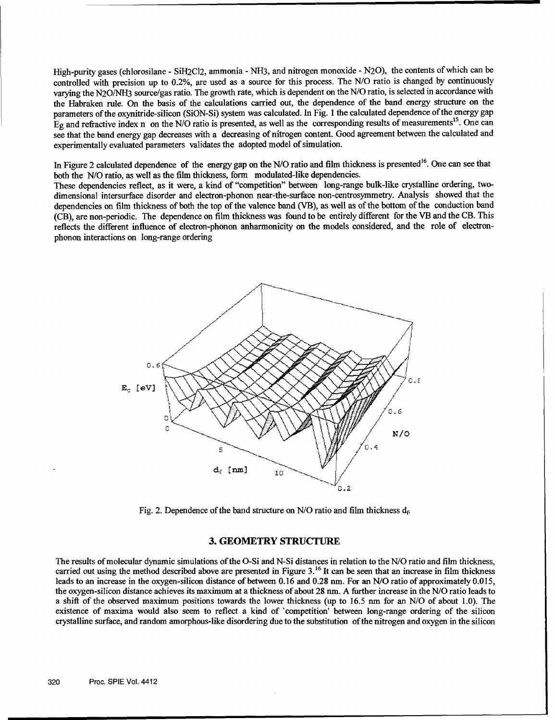High-purity gases (chlorosilane - SiH2C12, ammonia - NH3, and nitrogen monoxide - N20), the contents of which can be controlled with precision up to 0.2%, are used as a source for this process. The N/O ratio is changed by continuously varying the N20/NH3 source/gas ratio. The growth rate, which is dependent on the N/O ratio, is selected in accordance with the Habraken rule. On the basis of the calculations carried out, the dependence of the band energy structure on the parameters of the oxynitride-silicon (SiON-Si) system was calculated. In Fig. 1 the calculated dependence of the energy gap Eg and refractive index n on the N/O ratio is presented, as well as the corresponding results of measurements<sup>15</sup>. One can see that the band energy gap decreases with a decreasing of nitrogen content. Good agreement between the calculated and experimentally evaluated parameters validates the adopted model of simulation.

In Figure 2 calculated dependence of the energy gap on the N/O ratio and film thickness is presented<sup>16</sup>. One can see that both the N/O ratio, as well as the film thickness, form modulated-like dependencies.

These dependencies reflect, as it were, a kind of "competition" between long-range bulk-like crystalline ordering, twodimensional intersurface disorder and electron-phonon near-the-surface non-centrosymmetry. Analysis showed that the dependencies on film thickness of both the top of the valence band (VB), as well as of the bottom of the conduction band (CB), are non-periodic. The dependence on film thickness was found to be entirely different for the VB and the CB. This reflects the different influence of electron-phonon anharmonicity on the models considered, and the role of electronphonon interactions on long-range ordering



Fig. 2. Dependence of the band structure on N/O ratio and film thickness  $d_f$ .

#### **3.** GEOMETRY **STRUCTURE**

The results of molecular dynamic simulations of the O-Si and N-Si distances in relation to the N/O ratio and film thickness, carried out using the method described above are presented in Figure 3.<sup>16</sup> It can be seen that an increase in film thickness leads to an increase in the oxygen-silicon distance of between 0.16 and 0.28 nm. For an N/O ratio of approximately 0.0 *15,* the oxygen-silicon distance achieves its maximum at a thickness of about 28 nm. A further increase in the N/O ratio leads to a shift of the observed maximum positions towards the lower thickness (up to 16.5 nm for an N/O of about 1.0). The existence of maxima would also seem to reflect a kind of 'competition' between long-range ordering of the silicon crystalline surface, and random amorphous-like disordering due to the substitution of the nitrogen and oxygen in the silicon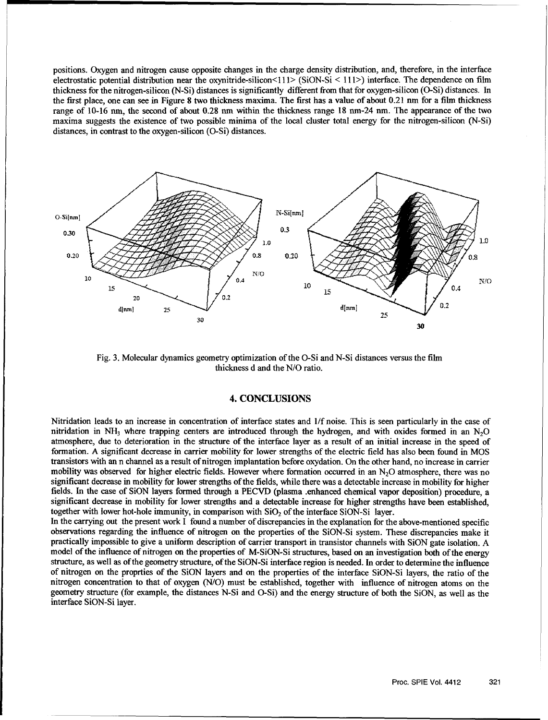positions. Oxygen and nitrogen cause opposite changes in the charge density distribution, and, therefore, in the interface electrostatic potential distribution near the oxynitride-silicon<111> (SiON-Si < 111>) interface. The dependence on film thickness for the nitrogen-silicon (N-Si) distances is significantly different from that for oxygen-silicon (O-Si) distances. In the first place, one can see in Figure 8 two thickness maxima. The first has a value of about 0.21 mn for a film thickness range of 10-16 un, the second of about 0.28 nm within the thickness range 18 nm-24 nm. The appearance of the two maxima suggests the existence of two possible minima of the local cluster total energy for the nitrogen-silicon (N-Si) distances, in contrast to the oxygen-silicon (O-Si) distances.



Fig. 3. Molecular dynamics geometry optimization of the O-Si and N-Si distances versus the film thickness d and the **N/O** ratio.

#### 4. CONCLUSIONS

Nitridation leads to an increase in concentration of interface states and 1/f noise. This is seen particularly in the case of nitridation in **NH3** where trapping centers are introduced through the hydrogen, and with oxides formed in an N20 atmosphere, due to deterioration in the structure of the interface layer as a result of an initial increase in the speed of formation. A significant decrease in carrier mobility for lower strengths of the electric field has also been found in MOS transistors with an n channel as a result of nitrogen implantation before oxydation. On the other hand, no increase in carrier mobility was observed for higher electric fields. However where formation occurred in an  $N<sub>2</sub>O$  atmosphere, there was no significant decrease in mobility for lower strengths of the fields, while there was a detectable increase in mobility for higher fields. In the case of SiON layers formed through a PECVD (plasma .enhanced chemical vapor deposition) procedure, a significant decrease in mobility for lower strengths and a detectable increase for higher strengths have been established, together with lower hot-hole immunity, in comparison with  $SiO<sub>2</sub>$  of the interface  $SiON-Si$  layer.

In the carrying out the present work I found a number of discrepancies in the explanation for the above-mentioned specific observations regarding the influence of nitrogen on the properties of the SiON-Si system. These discrepancies make it practically impossible to give a uniform description of carrier transport in transistor channels with SiON gate isolation. A model of the influence of nitrogen on the properties of M-SiON-Si structures, based on an investigation both of the energy structure, as well as of the geometry structure, of the SiON-Si interface region is needed. In order to determine the influence of nitrogen on the proprties of the SiON layers and on the properties of the interface SiON-Si layers, the ratio of the nitrogen concentration to that of oxygen (N/O) must be established, together with influence of nitrogen atoms on the geometry structure (for example, the distances N-Si and O-Si) and the energy structure of both the SiON, as well as the interface SiON-Si layer.